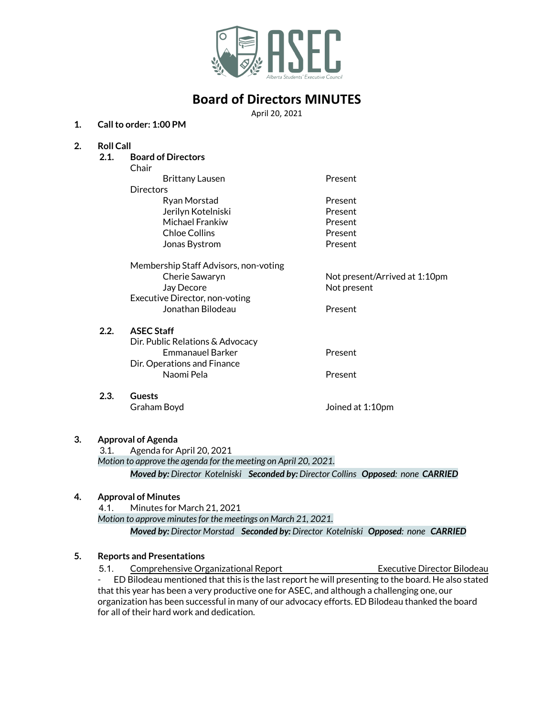

# **Board of Directors MINUTES**

April 20, 2021

### **1. Callto order: 1:00 PM**

### **2. Roll Call**

**2.1. Board of Directors**

Chair

Brittany Lausen **Present Directors** Ryan Morstad **Present** Jerilyn Kotelniski Present Michael Frankiw **Present** Chloe Collins **Present** Jonas Bystrom **Present** 

Membership Staff Advisors, non-voting Cherie Sawaryn Not present/Arrived at 1:10pm Jay Decore Not present Executive Director, non-voting Jonathan Bilodeau Present

### **2.2. ASEC Staff**

Dir. Public Relations & Advocacy Emmanauel Barker **Present** Dir. Operations and Finance Naomi Pela **Present** 

**2.3. Guests** Graham Boyd Joined at 1:10pm

### **3. Approval of Agenda**

3.1. Agenda for April 20, 2021 *Motion to approve the agenda for the meeting on April 20, 2021. Moved by: Director Kotelniski Seconded by: Director Collins Opposed: none CARRIED*

## **4. Approval of Minutes**

4.1. Minutes for March 21, 2021

*Motion to approve minutesfor the meetings on March 21, 2021.*

*Moved by: Director Morstad Seconded by: Director Kotelniski Opposed: none CARRIED*

## **5. Reports and Presentations**

5.1. Comprehensive Organizational Report Executive Director Bilodeau - ED Bilodeau mentioned that this is the last report he will presenting to the board. He also stated that this year has been a very productive one for ASEC, and although a challenging one, our organization has been successful in many of our advocacy efforts. ED Bilodeau thanked the board for all of their hard work and dedication.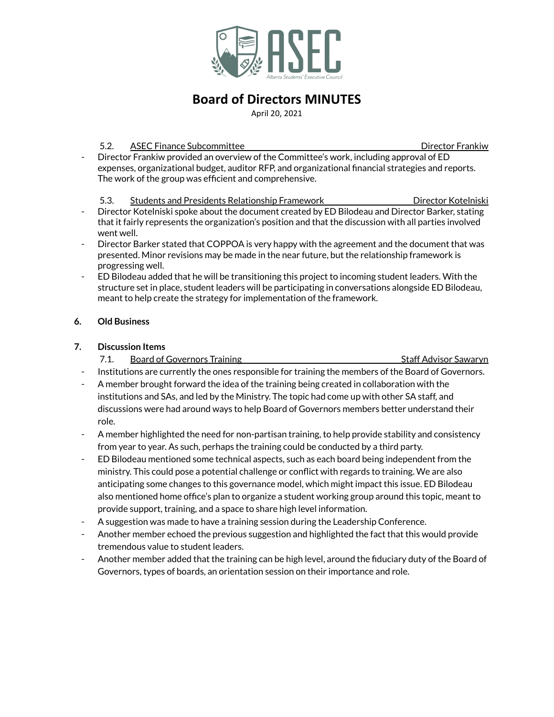

# **Board of Directors MINUTES**

April 20, 2021

### 5.2. ASEC Finance Subcommittee **Director Frankish Contract Contract Contract Contract Contract Contract Contract Contract Contract Contract Contract Contract Contract Contract Contract Contract Contract Contract Contract C**

Director Frankiw provided an overview of the Committee's work, including approval of ED expenses, organizational budget, auditor RFP, and organizational financial strategies and reports. The work of the group was efficient and comprehensive.

5.3. Students and Presidents Relationship Framework Director Kotelniski

- Director Kotelniski spoke about the document created by ED Bilodeau and Director Barker, stating that it fairly represents the organization's position and that the discussion with all parties involved went well.
- Director Barker stated that COPPOA is very happy with the agreement and the document that was presented. Minor revisions may be made in the near future, but the relationship framework is progressing well.
- ED Bilodeau added that he will be transitioning this project to incoming student leaders. With the structure set in place, student leaders will be participating in conversations alongside ED Bilodeau, meant to help create the strategy for implementation of the framework.

## **6. Old Business**

## **7. Discussion Items**

7.1. Board of Governors Training Staff Advisor Sawaryn

- Institutions are currently the ones responsible for training the members of the Board of Governors.
- A member brought forward the idea of the training being created in collaboration with the institutions and SAs, and led by the Ministry. The topic had come up with other SA staff, and discussions were had around ways to help Board of Governors members better understand their role.
- A member highlighted the need for non-partisan training, to help provide stability and consistency from year to year. As such, perhaps the training could be conducted by a third party.
- ED Bilodeau mentioned some technical aspects, such as each board being independent from the ministry. This could pose a potential challenge or conflict with regards to training. We are also anticipating some changes to this governance model, which might impact this issue. ED Bilodeau also mentioned home office's plan to organize a student working group around this topic, meant to provide support, training, and a space to share high level information.
- A suggestion was made to have a training session during the Leadership Conference.
- Another member echoed the previous suggestion and highlighted the fact that this would provide tremendous value to student leaders.
- Another member added that the training can be high level, around the fiduciary duty of the Board of Governors, types of boards, an orientation session on their importance and role.